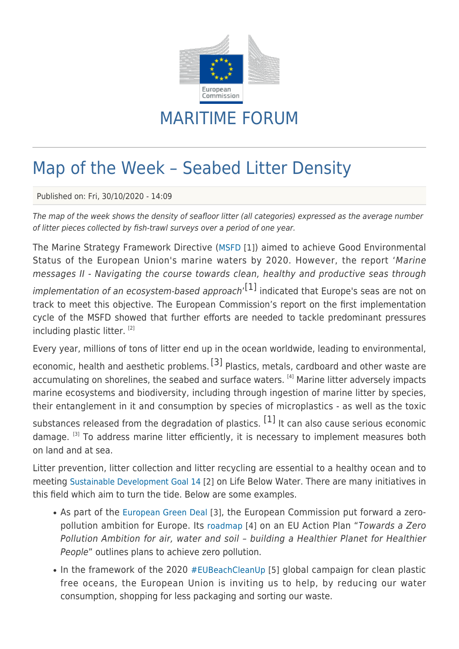

## MARITIME FORUM

## Map of the Week – Seabed Litter Density

Published on: Fri, 30/10/2020 - 14:09

The map of the week shows the density of seafloor litter (all categories) expressed as the average number of litter pieces collected by fish-trawl surveys over a period of one year.

The Marine Strategy Framework Directive ([MSFD](https://eur-lex.europa.eu/legal-content/EN/TXT/?uri=CELEX:32008L0056) [1]) aimed to achieve Good Environmental Status of the European Union's marine waters by 2020. However, the report 'Marine messages II - Navigating the course towards clean, healthy and productive seas through

implementation of an ecosystem*‑*based approach' [1] indicated that Europe's seas are not on track to meet this objective. The European Commission's report on the first implementation cycle of the MSFD showed that further efforts are needed to tackle predominant pressures including plastic litter. [2]

Every year, millions of tons of litter end up in the ocean worldwide, leading to environmental,

economic, health and aesthetic problems.<sup>[3]</sup> Plastics, metals, cardboard and other waste are accumulating on shorelines, the seabed and surface waters. [4] Marine litter adversely impacts marine ecosystems and biodiversity, including through ingestion of marine litter by species, their entanglement in it and consumption by species of microplastics - as well as the toxic substances released from the degradation of plastics.  $[1]$  It can also cause serious economic

damage. <sup>[3]</sup> To address marine litter efficiently, it is necessary to implement measures both on land and at sea.

Litter prevention, litter collection and litter recycling are essential to a healthy ocean and to meeting [Sustainable Development Goal 14](https://sdgs.un.org/goals/goal14) [2] on Life Below Water. There are many initiatives in this field which aim to turn the tide. Below are some examples.

- As part of the [European Green Deal](https://ec.europa.eu/info/strategy/priorities-2019-2024/european-green-deal_en) [3], the European Commission put forward a zeropollution ambition for Europe. Its [roadmap](https://ec.europa.eu/environment/news/commission-outlines-road-zero-pollution-action-plan-2020-10-01_en) [4] on an EU Action Plan "Towards a Zero Pollution Ambition for air, water and soil – building a Healthier Planet for Healthier People" outlines plans to achieve zero pollution.
- In the framework of the 2020 [#EUBeachCleanUp](https://ec.europa.eu/info/events/eu-beach-cleanup-2020_en) [5] global campaign for clean plastic free oceans, the European Union is inviting us to help, by reducing our water consumption, shopping for less packaging and sorting our waste.